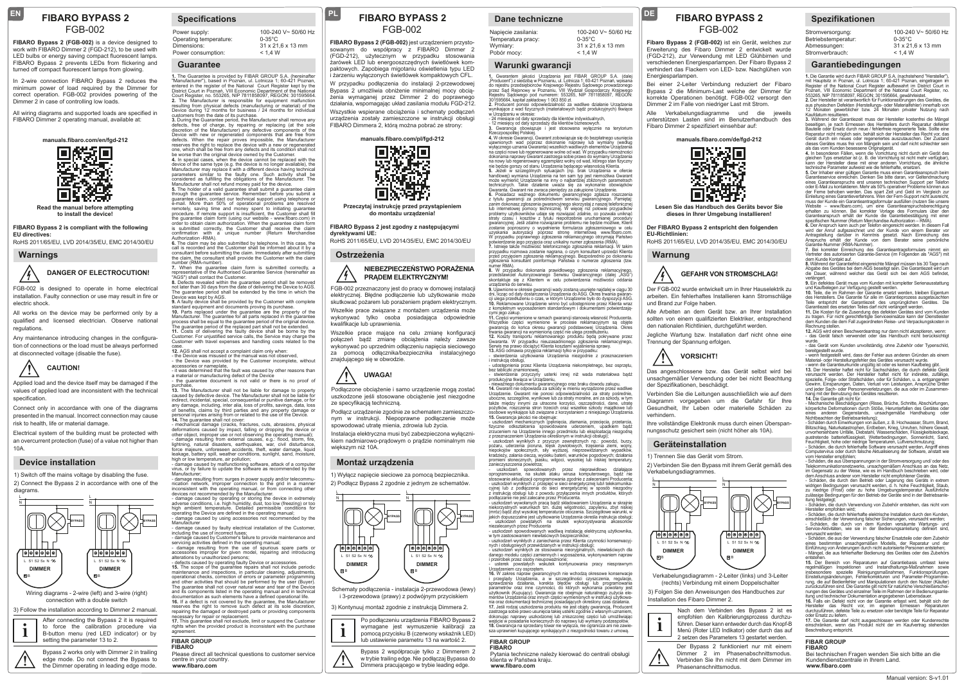## **FIBARO BYPASS 2** FGB-002

**EN**

**FIBARO Bypass 2 (FGB-002)** is a device designed to work with FIBARO Dimmer 2 (FGD-212), to be used with LED bulbs or energy saving compact fluorescent lamps. FIBARO Bypass 2 prevents LEDs from flickering and turned off compact fluorescent lamps from glowing.

In 2-wire connection FIBARO Bypass 2 reduces the minimum power of load required by the Dimmer for correct operation. FGB-002 provides powering of the Dimmer 2 in case of controlling low loads.

All wiring diagrams and supported loads are specified in FIBARO Dimmer 2 operating manual, available at:



**Read the manual before attempting to install the device!**

**FIBARO Bypass 2 is compliant with the following EU directives:**

RoHS 2011/65/EU, LVD 2014/35/EU, EMC 2014/30/EU

**Warnings**

## **DANGER OF ELECTROCUTION!**

FGB-002 is designed to operate in home electrical installation. Faulty connection or use may result in fire or electric shock.

All works on the device may be performed only by a qualified and licensed electrician. Observe national regulations.

Any maintenance introducing changes in the configuration of connections or the load must be always performed at disconnected voltage (disable the fuse).



 Applied load and the device itself may be damaged if the values of applied load are inconsistent with the technical specification

Connect only in accordance with one of the diagrams presented in the manual. Incorrect connection may cause risk to health, life or material damage.

Electrical system of the building must be protected with an overcurrent protection (fuse) of a value not higher than 10A.

## **Device installation**

diagrams.

1) Switch off the mains voltage by disabling the fuse. 2) Connect the Bypass 2 in accordance with one of the



connection with a double switch

3) Follow the installation according to Dimmer 2 manual

After connecting the Bypass 2 it is required to force the calibration procedure via B-button menu (red LED indicator) or by setting the parameter 13 to 2. **i** to force the calibration procedure via institution into account the purchase interest into the calibration procedure via institution of the purchase of the purchase of the calibration of the calibration of the calibrat

Bypass 2 works only with Dimmer 2 in trailing<br>edge mode. Do not connect the Bypass to the Dimmer operating in leading edge mode.

## **Specifications**

| 100-240 V~ 50/60 Hz |
|---------------------|
| $0-35^{\circ}$ C    |
| 31 x 21.6 x 13 mm   |
| < 1.4 W             |
|                     |

## **Guarantee**

1. The Guarantee is provided by FIBAR GROUP S.A. (hereinafter<br>"Manufacturer"), based in Poznan, ul. Lotnicza 1; 60-421 Poznan,<br>District Court in Poznan, VIII Economic Dourt Register kept by the<br>District Court in Poznan, VI resulting from physical defects (manufacturing or material) of the Device during 12 months for business / 24 months for individual customers from the date of its purchase.

**3.** During the Guarantee period, the Manufacturer shall remove any defects, free of charge, by repairing or replacing (at the sole<br>discretion of the Manufacturer) any defective components of the<br>Device with new or regener

defects. When the repair proves impossible, the Manufacture reserves the right to replace the device with a new or regenerate reserves the right to replace the device with a new or regenerated<br>one, which shall be free from any defects and its condition shall not<br>be worse than the original device owned by the Customer.<br>4. In special cases, when th device of the same type (e.g. the device is no longer available), the Manufacturer may replace it with a different device having technical

parameters similar to the faulty one. Such activity shall be<br>considered as fulfilling the obligations of the Manufacturer. The<br>Manufacturer shall not refund money paid for the device.<br>**5.** The holder of a valid guarantee s through the guarantee service. Remember: before you submit a

guarantee claim, contact our technical support using telephone or<br>e-mail. More than 50% of operational problems are resolved<br>remotely, saving time and money spent to initiating guarantee<br>procedure. If remote support is ins order to obtain claim authorization. When the guarantee claim form is submitted correctly, the Customer shall receive the claim confirmation with a unique number (Return Merchandise

Authorization -RMA).<br>**6.** The claim may be also submitted by telephone. In this case, the<br>call is recorded and the Customer shall be informed about it by a consultant before submitting the claim. Immediately after submitting the claim, the consultant shall provide the Customer with the claim number (RMA-number).<br>number (RMA-number).<br>7. When the quarantee claim form is submitted correctly :

7. When the guarantee claim form is submitted correctly, a<br>"AGS") shall contact the Customer.<br>"AGS") shall contact the Customer.<br>**8.** Defects revealed within the guarantee period shall be removed<br>not later than 30 days fro

Device was kept by AGS.<br>**9.** A faulty device shall be provided by the Customer with complete<br>standard equipment and documents proving its purchase.<br>**10.** Parts replaced under the guarantee are the property of the Manufacturer. The guarantee for all parts replaced in the guarantee process shall be equal to the quarantee period of the original device The guarantee period of the replaced part shall not be extended.<br>11. Costs of delivering the faulty device shall be borne by the<br>Customer. For unjustified service calls, the Service may charge the<br>Customer with travel expe

case. **12.** AGS shall not accept a complaint claim only when:

- The Device was misused or the manual was not observed. - the Device was misused or the manual map het bood roo,<br>- the Device was provided by the Customer incomplete, without<br>accessories or nameplate. accessories or nameplate, - it was determined that the fault was caused by other reasons than

a material or manufacturing defect of the Device - the guarantee document is not valid or there is no proof of

13. The Manufacturer shall not be liable for damage to property 13. The Manufacturer shall not be liable for damage to property<br>caused by defective device. The Manufacturer shall not be liable for<br>indirect, incidental, special, consequential or punitive damage, or for<br>any damage, inclu

personal injuries arising from or related to the use of the Device.<br>14. The guarantee shall not cover:<br>- mechanical damage (cracks, fractures, cuts, abrasions, physical<br>deformations caused by impact, falling or dropping th - damage resulting from external causes, e.g.: flood, storm, fire lightning, natural disasters, earthquakes, war, civil disturbance force majeure, unforeseen accidents, theft, water damage, liquid leakage, battery spill, weather conditions, sunlight, sand, moisture,

high or low temperature, air pollution; - damage caused by malfunctioning software, attack of a computer virus, or by failure to update the software as recommended by the

Manufacturer; - damage resulting from: surges in power supply and/or telecommu-

nication network, improper connection to the grid in a manner inconsistent with the operating manual, or from connecting other devices not recommended by the Manufacturer. - damage caused by operating or storing the device in extremely adverse conditions, i.e. high humidity, dust, too low (freezing) or too high ambient temperature. Detailed permissible conditions for operating the Device are defined in the operating manual;

- damage caused by using accessories not recommended by the Manufacturer - damage caused by faulty electrical installation of the Customer,

including the use of incorrect fuses; - damage caused by Customer's failure to provide maintenance and

servicing activities defined in the operating manual;<br>- damage resulting from the use of spurious spare parts or<br>accessories improper for given model, repairing and introducing<br>-defects caused by operating faulty Device or

maintenance and inspections, in particular cleaning, adjustments, operational checks, correction of errors or parameter programming<br>and other activities that should be performed by the user (Buyer).<br>The guarantee shall not cover natural wear and tear of the Device<br>and its components list documentation as such elements have a defined operational life.<br>**16.** If a defect is not covered by the guarantee, the Manufacturer<br>reserves the right to remove such defect at its sole discretion,

repairing the damaged or destroyed parts or providing components necessary for repair or replacement.

**17.** This guarantee shall not exclude, limit or suspend the Customer<br>rights when the provided product is inconsistent with the purchase agreement.

#### **FIBAR GROUP FIBARO**

**www.fibaro.com** Please direct all technical questions to customer service centre in your country.

## **FIBARO BYPASS 2** FGB-002

**PL**

**FIBARO Bypass 2 (FGB-002)** jest urządzeniem przystosowanym do współpracy z FIBARO Dimmer 2 (FGD-212), użytecznym w przypadku stosowania żarówek LED lub energooszczędnych świetlówek kompaktowych. Zapobiega migotaniu oświetlenia typu LED

i żarzeniu wyłączonych świetlówek kompaktowych CFL. W przypadku podłączenia do instalacji 2-przewodowej Bypass 2 umożliwia obniżenie minimalnej mocy obciążenia wymaganej przez Dimmer 2 do poprawnego działania, wspomagając układ zasilania modułu FGD-212.

Wszystkie wspierane obciążenia i schematy podłączeń urządzenia zostały zamieszczone w instrukcji obsługi FIBARO Dimmera 2, którą można pobrać ze strony:



**Przeczytaj instrukcję przed przystąpieniem do montażu urządzenia!**

**FIBARO Bypass 2 jest zgodny z następującymi dyrektywami UE:**

RoHS 2011/65/EU, LVD 2014/35/EU, EMC 2014/30/EU

**Ostrzeżenia**

### **NIEBEZPIECZEŃSTWO PORAŻENIA PRĄDEM ELEKTRYCZNYM!**

FGB-002 przeznaczony jest do pracy w domowej instalacji elektrycznej. Błędne podłączenie lub użytkowanie może skutkować pożarem lub porażeniem prądem elektrycznym. Wszelkie prace związane z montażem urządzenia może wykonywać tylko osoba posiadająca odpowiednie kwalifikacje lub uprawnienia.

Wszelkie prace mające na celu zmianę konfiguracji połączeń bądź zmianę obciążenia należy zawsze wykonywać po uprzednim odłączeniu napięcia sieciowego za pomocą odłącznika/bezpiecznika instalacyjnego znajdującego się w obwodzie.

## **!UWAGA!**

 Podłączone obciążenie i samo urządzenie mogą zostać uszkodzone jeśli stosowane obciążenie jest niezgodne ze specyfikacją techniczną.

Podłącz urządzenie zgodnie ze schematem zamieszczonym w instrukcji. Niepoprawne podłączenie może spowodować utratę mienia, zdrowia lub życia.

Instalacja elektryczna musi być zabezpieczona wyłącznikiem nadmiarowo-prądowym o prądzie nominalnym nie większym niż 10A.

#### **Montaż urządzenia**

1) Wyłącz napięcie sieciowe za pomocą bezpiecznika. 2) Podłącz Bypass 2 zgodnie z jednym ze schematów.



Schematy podłączenia - instalacja 2-przewodowa (lewy) i 3-przewodowa (prawy) z podwójnym przyciskiem

#### 3) Kontynuuj montaż zgodnie z instrukcją Dimmera 2.



Bypass 2 współpracuje tylko z Dimmerem 2 w trybie trailing edge. Nie podłączaj Bypassa do<br>**Dimmera pracującego w trybie leading edge**.

#### **Dane techniczne**

Napięcie zasilania: Temperatura pracy: Wymiary: Pobór mocy: 100-240 V~ 50/60 Hz 0-35°C 31 x 21,6 x 13 mm  $< 1.4 W$ 

**FIBARO BYPASS 2 DE**

FGB-002

**Fibaro Bypass 2 (FGB-002)** ist ein Gerät, welches zur Erweiterung des Fibaro Dimmer 2 entwickelt wurde (FGD-212), zur Verwendung mit LED Glühbirnen und verschiedenen Energiesparlampen. Der Fibaro Bypass 2 verhindert das Flackern von LED- bzw. Nachglühen von

Bei einer 2-Leiter Verbindung reduziert der Fibaro Bypass 2 die Minimum-Last welche der Dimmer für korrekte Operationen benötigt. FGB-002 versorgt den Dimmer 2 im Falle von niedriger Last mit Strom. Alle Verkabelungsdiagramme und die jeweils unterstützen Lasten sind im Benutzerhandbuch des Fibaro Dimmer 2 spezifiziert einsehbar auf:

**Garantiebedingungen**

**1.** Die Garantie wird durch FIBAR GROUP S.A. (nachstehend "Hersteller"),

100-240 V~ 50/60 Hz

0-35°C 31 x 21,6 x 13 mm  $< 1.4 W$ 

mit Hauptsitz in Poznan, ul. Lohicza 1; 60-421 Poznan, eingetragen im<br>Register of the National Court Register aufbewahrt im District Court in<br>Poznań, VIII Economic Department of the National Court Register, no.<br>553265, NIP

Kaufdatum resultieren.<br>18. d'alternation de l'accelienne de l'accelienne de l'accelienne de l'accelienne, je nach Ermessen des Herstellers durch Reparatur defekter<br>Bautelie oder Ersatz durch neue / fehlerfreie regenerierte

als das vom Kunden besessene Originalgerät. **4.** In besonderen Fällen, wenn die Vorrichtung nicht durch ein Gerät des gleichen Typs ersetzbar ist (z. B. die Vorrichtung ist nicht mehr verfügbar), kann der Hersteller diese mit einer anderen Vorrichtung, die ähnliche technische Parameter aufweist wie die fehlerhafte, ersetzen.<br>5. Der Inhaber einer gültigen Garantie muss einen Garantieanspruch beim<br>Garantieservice einreichen. Denken Sie bitte daran, vor Geltendmachung<br>eines Garantieansp der Ferne behoben werden. Das spart Zeit und Geld im Vergleich zur Einleitung eines Garantieverfahrens. Wen der Fern-Support nicht ausreicht,

muss der Kunde ein Garantieantsgesformular austillen (nucten Sie unserechtigung)<br>Website – www.fibaro.com), um eine Garantieanspruchsberechtigung<br>erhalten zu können. Bei korrekter Vorlage des Formulars über den<br>Garantieans

Antragstellung darüber in Kenntnis gesetzt. Nach Einreichung des Anspruchs erhält der Kunde von dem Berater seine persönliche Garantie-Nummer (RMA-Nummer).<br>**7.** Bei korrekter Einreichung des Garantieantragsformulars nimmt ein<br>Vertreter des autorisierten Garantie-Service (im Folgenden als "AGS") mit

**8.** Während der Garantiefrist eingereichte Mängel müssen bis 30 Tage nach Abgabe des Gerätes bei dem AGS beseitigt sein. Die Garantiezeit wird um die Dauer, während welcher das Gerät sich bei dem AGS befindet,

**9.** Ein defektes Gerät muss vom Kunden mit kompletter Serienausstattung und Kaufbelegen zur Verfügung gestellt werden.<br>10. Teile, die im Rahmen der Garantie ersetzt werden, bleiben Eigentum<br>des Herstellers. Die Garantie für alle im Garantieprozess ausgetauschten<br>Teile entspricht der Garantieze **11.** Die Kosten für die Zusendung des defekten Gerätes sind vom Kunden<br>zu tragen. Für nicht gerechtfertigte Serviceeinsätze kann der Dienstleister dem Kunden die dem Fall zugeordneten Reise- und Verpackungskosten in Rechnung stellen. **12.** AGS wird einen Beschwerdeantrag nur dann nicht akzeptieren, wenn: 1. Noo wird einen beseitwerdet ning har dammen akzeptieren, wenn.<br>das Gerät falsch verwendet oder das Handbuch nicht berücksichtigt wurde. - das Gerät vom Kunden unvollständig, ohne Zubehör oder Typenschild, bereitgestellt wurde.<br>- wenn festgestellt wird, dass der Fehler aus anderen Gründen als einem<br>Material- oder Herstellungsfehler des Gerätes verursacht wurde.<br>- wenn die Garantieurkunde ungültig ist oder es keinen Kaufbeleg

13. Der Hersteller haftet nicht für Sachschäden, die durch defekte Gerät<br>spezielle, Folge- oder Strafschäden, oder für Schäden, u. a. entgangenem<br>spezielle, Folge- oder Strafschäden, oder für Schäden, u. a. entgangenem<br>Gew

- Mechanische Beschädigungen (Risse, Brüche, Schnitte, Abschürfungen, körperliche Deformationen durch Stöße, Herunterfallen des Gerätes oder eines Begenstands, unsachgemäße Handhabung oder<br>Pachten der Betriebsanleitung

Nichtbeachten der Betriebsanieltung);<br>Schäden durch Einwirkungen von außen, z. B. Hochwasser, Sturm, Brand,<br>Biltzschlag, Naturkatastrophen, Erdbeben, Krieg, Unruhen, höhere Gewalt,<br>unvorhersehbare Unfälle, Diebstahl, Wasse Computervirus oder durch falsche Aktualisierung der Software, anstatt wie vom Hersteller empfohlen; - Schäden, die aus Überspannungen in der Stromversorgung und/ oder des Telekommunikationsnetzwerks, unsachgemäßem Anschluss an das Netz, im Gegensatz zu der Weise, wie es im Handbuch beschrieben wird, oder dem Anschluss anderer vom Hersteller nicht empfohlener Geräte. - Schäden, die durch den Betrieb oder Lagerung des Geräts in extrem widrigen Bedingungen verursacht werden, d. h. hohe Feuchtigkeit, Staub, zu niedrige (Frost) oder zu hohe Umgebungstemperatur. Ausführliche zulässige Bedingungen für den Betrieb der Geräte sind in der Betriebsanleitung festgelegt; - Schäden, die durch Verwendung von Zubehör entstehen, das nicht vom Hersteller empfohlen wird; - Schäden, die durch fehlerhafte elektrische Installation durch den Kunden, einschließlich der Verwendung falscher Sicherungen, verursacht werden; - Schäden, die durch von dem Kunden versäumte Wartungs- und Service-Aktivitäten, wie sie in der Bedienungsanleitung definiert sind, verursacht werden;<br>verursacht werden;<br>- Schäden, die aus der Verwendung falscher Frsatzteile oder dem Zubehöl - Schäden, die aus der Verwendung falscher Ersatzteile oder dem Zubehör<br>eines bestimmten unsachgemäßen Modells, der Reparatur und der<br>Einführung von Änderungen durch nicht autorisierte Personen entstehen;<br>- Mängel, die aus entstehen. **15.** Der Bereich von Reparaturen auf Garantiebasis umfasst keine regelmäßigen Inspektionen und Instandhaltungs-Maßnahmen sowie insbesondere spezielle Reinigungsmaßnahmen, Funktionsprüfungen,<br>Einstellungsänderungen, Fehlerkorrekturen und Parameter-Programmie-<br>rung, die auf Bedienfehler und Manipulationen durch den Nutzer (Käufer) zurückzuführen sind. Die Garantie gilt nicht für natürliche Verschleißerschei-nungen des Gerätes und einzelner Teile im Rahmen der in Bedienungsanle-itung und technischer Dokumentation angegebenen Lebensdauer. **16.** Falls ein Defekt nicht von der Garantie erfasst wird, behält sich der Hersteller das Recht vor, im eigenen Ermessen durchzuführen, defekte Teile zu ersetzen oder benötigte Teile für Reparatur oder Ersatz zu liefern. **17.** Die Garantie darf nicht ausgeschlossen werden oder Kundenrechte einschränken, wenn das Produkt nicht der im Kaufvertrag stehenden Beschreibung entspricht.

dem Kunde Kontakt auf.

**14.** Die Garantie gilt nicht für:

**FIBAR GROUP FIBARO**

**www.fibaro.com**

Bei technischen Fragen wenden Sie sich bitte an die

Kundendienstzentrale in Ihrem Land.

verlängert.

**Spezifikationen**

Stromversorgung: Betriebstemperatur: Abmessungen: **Stromverbrauch** 

**manuals.fibaro.com/de/fgd-212**

バンス<br>ランス

IП

**Lesen Sie das Handbuch des Geräts bevor Sie dieses in Ihrer Umgebung installieren! Der FIBARO Bypass 2 entspricht den folgenden** 

RoHS 2011/65/EU, LVD 2014/35/EU, EMC 2014/30/EU

**Geräteinstallation**

Verkabelungsdiagrammes.

1) Trennen Sie das Gerät vom Strom.

Das angeschlossene bzw. das Gerät selbst wird bei

unsachgemäßer Verwendung oder bei nicht Beachtung

Verbinden Sie die Leitungen ausschließlich wie auf dem Diagramm vorgegeben um die Gefahr für Ihre Gesundheit, Ihr Leben oder materielle Schäden zu

Ihre vollständige Elektronik muss durch einen Überspannungsschutz gesichert sein (nicht höher als 10A).

2) Verbinden Sie den Bypass mit ihrem Gerät gemäß des

L N

**BYPASS**

3) Folgen Sie den Anweisungen des Handbuches zur

Verkabelungsdiagramm - 2-Leiter (links) und 3-Leiter (rechts) Verbindung mit einem Doppelschalter

> Nach dem Verbinden des Bypass 2 ist es empfohlen den Kalibrierungsprozess durchzuführen. Dieser kann entweder durch das Knopf-B Menü (Roter LED Indikator) oder durch das auf 2 setzen des Parameters 13 gestartet werden.

Der Bypass 2 funktioniert nur mit einem Dimmer 2 im Phasenabschnittsmodus. **IN** Dimmer 2 im Phasenabschnittsmodus.<br>
Verbinden Sie Ihn nicht mit dem Dimmer im Phasenanschnittsmodus.

B

**DIMMER** L S1 S2 Sx N  $\infty$ 

 $\boxed{\circ$   $\circ$   $\circ$   $\circ$   $\circ$   $\circ$ 

**BYPASS**

Installation des Fibaro Dimmer 2.

**i**

B

**DIMMER** L S1 S2 Sx N  $\alpha$ 

 $\boxed{\circ\hspace{-0.08cm}|\hspace{-0.08cm} \circ\hspace{-0.08cm} |\hspace{-0.08cm} \circ\hspace{-0.08cm} |\hspace{-0.08cm} \circ\hspace{-0.08cm} |\hspace{-0.08cm} \circ\hspace{-0.08cm} |\hspace{-0.08cm} \circ\hspace{-0.08cm} |\hspace{-0.08cm} \circ\hspace{-0.08cm} |\hspace{-0.08cm} \circ\hspace{-0.08cm} |\hspace{-0.08cm} \circ\hspace{-0.08cm} |\hspace{-0.08cm} \circ\hspace{-0.08cm} |\hspace{-0.08$ 

Alle Arbeiten an dem Gerät bzw. an Ihrer Installation sollten von einem qualifizierten Elektriker, entsprechend den nationalen Richtlinien, durchgeführt werden. Jegliche Wartung bzw. Installation darf nicht ohne eine

**GEFAHR VON STROMSCHLAG!** Der FGB-002 wurde entwickelt um in Ihrer Hauselektrik zu arbeiten. Ein fehlerhaftes Installieren kann Stromschläge

**VORSICHT!**

Trennung der Spannung erfolgen.

der Spezifikationen, beschädigt.

**Warnung**

**EU-Richtlinien:**

**Energiesparlampen** 

und Brand zur Folge haben.

**!**

verhindern.

L N

#### **Warunki gwarancji**

**1.** Gwarantem jakości Urządzenia jest FIBAR GROUP S.A. (dalej "Producent") z siedzbą w Poznaniu, ul. Lotnicza 1; 60-421 Poznań, wpisana<br>do rejestru przedsiębiorców Krajowego Rejestru Sądowego prowadzonego<br>przez Sąd Rejenowy w Poznaniu, VIII Wydział Gospodarczy Krajowego<br>Rejestru Sądo

- 24 miesiące od daty sprzedaży dla klientów indywidualnych, - 12 miesięcy od daty sprzedaży dla klientów biznesowych.

**3.** Gwarancja obowiązuje i jest stosowana wyłącznie na terytorium Rzeczpospolitej Polskiej.<br>4. W okresie Gwarancji. Gwarant zobowiazuje się do bezpłatnego usuniecja

4. W okresie Gwarancji, Gwarant zobowiązuje się do bezpłatnego usunięcia<br>ujawnionych wad poprzez dokonanie naprawy lub wymiany (według<br>na części nowe lub regenerowane wolne od wad.Wy przypadku niemożności<br>na części nowe lu handlowej) wymiana Urządzenia na ten sam typ jest niemożliwa Gwarant może wymienić Urządzenie na inny o najbardziej zbliżonych parametrach technicznych. Takie działanie uważa się za wykonanie obowiązków Gwaranta. Gwarant nie zwraca pieniędzy za zakupione Urządzenie.

**6.** Posiadacz ważnego dokumentu gwarancyjnego zgłasza roszczenia z tytułu gwarancji za pośrednictwem serwisu gwarancyjnego. Pamiętaj:<br>zanim dokonasz zgłoszenia gwarancyjnego skorzystaj z naszej telefonicznej<br>lub intemetowej pomocy technicznej. W więcej niż połowie przypadków<br>problemy uż zostanie poproszony o wypełnienie formularza zgłoszeniowego w celu uzyskania autoryzacji poprzez stronę internetową www.fibaro.com. W przypadku poprawnego zgłoszenia reklamacyjnego otrzymają Państwo potwierdzenie jego przyjęcia oraz unikalny numer zgłoszenia (RMA). **7.** Istnieje także możliwość telefonicznego zgłoszenia reklamacji. W takim przypadku rozmowa zostanie nagrana, o czym konsultant uprzedzi Klienta<br>przed przyjęciem zgłoszenia reklamacyjnego. Bezpośrednio po dokonaniu<br>zgłoszenia konsultant poinformuje Państwa o numerze zgłoszenia (tzw.

numer RMA).<br>**8.** W przypadku dokonania prawidłowego zgłoszenia reklamacyjnego,<br>przedstawiciel Autoryzowanego Serwisu Gwarancyjnego (dalej "ASG")<br>skontaktuje się z Klientem w celu potwierdzenia możliwości oddania

urządzenia do serwisu. **9.** Ujawnione w okresie gwarancji wady zostaną usunięte najdalej w ciągu 30 dni, licząc od daty dostarczenia Urządzenia do ASG. Okres trwania gwaran-cji ulega przedłużeniu o czas, w którym Urządzenie było do dyspozycji ASG. **10.** Reklamowane Urządzenie winno być udostępnione przez Klienta wraz z kompletnym wyposażeniem standardowym i dokumentami potwierdzają-

cymi jego zakup.<br>Cymi jego zakup.<br>11. Cześci wymienione w ramach gwarancji stanowia własność Producenta 11. Części wymienione w ramach gwarancji stanowią wiasność Producenta.<br>Wszystkie części wymienione w procesie reklamacyjnym są objęte<br>gwarancją do końca okresu gwarancji podstawowej Urządzenia. Okres<br>tiwanala gwarancji na

i instrukcją obsługi, americzne i instrukcją obsługi, americzne i instrukcją obsługi, americzne i instrukcją obsługi, americzne i instrukcją obsługi, americzne i instrukcją obsługi, americzne i instrukcją obsługi, americzn

- udostępnienia przez Klienta Urządzenia niekompletnego, bez osprzętu,<br>bez tabliczki znamionowej,<br>- stwierdzenia, przyczyny usterki innej niż wada materiałowa bądź<br>produkcyjna tkwiąca w Urządzeniu,<br>produkcyjna tkwiąca w Ur także między innymi za utracone korzyści, oszczędności, dane, utratę pożytków, roszczenia stron trzecich oraz wszelkie szkody majątkowe lub osobowe wynikające lub związane z korzystaniem z niniejszego Urządzenia.<br>**15.** Gwarancja jakości nie obejmuje:

- uszkodzeń mechanicznych mechanicznych (uraz działanicznych mechanicznych (peknięcia, przetarcia, przetarcia,<br>- uszkodzeń mechanicznych (pęknięcia, złamania, przecięcia, przetarcia,<br>- fizyczne - odkształcenia - spowodowan fizyczne odkaztałcenia spowodowane uderzeniem, upadkiem bądź<br>zrzuceniem na Urządzenie innego przedmiotu lub eksploatacją niezgodną<br>z przeznaczeniem Urządzenia określonym w instrukcji obsługi);<br>- uszkodzeń wynikłych z przyc

kradzieży, zalania cieczą, wycieku baterii, warunków pogodowych; działania promieni słonecznych, piasku, wilgoci, wysokiej lub niskiej temperatury, zanieczyszczenia powietrza; - uszkodzeń spowodowanych przez nieprawidłowo działające

oprogramowanie, na skutek ataku wiwas komputerowego, bądź nie<br>stosowanie aktualizacji oprogramowania zgodnie z zaleceniami Producenta;<br>- uszkodzeń wynikłych z przepieć w sieci energetycznej lubí telekomunika-<br>oyinej lub z

jakich dopuszczalne jest użytkowanie Urządzenia określa instrukcja obsługi;

- uszkodzeń powstałych na skutek wykorzystywania akcesoriów niezalecanych przez Producenta - uszkodzeń spowodowanych wadliwą instalacją elektryczną użytkownika, w tym zastosowaniem niewłaściwych bezpieczników;

- uszkodzeń wynikłych z zaniechania przez Klienta czynności konserwacyj nych i obsługowych przewidzianych w instrukcji obsługi; - uszkodzeń wynikłych ze stosowania nieoryginalnych, niewłaściwych dla

danego modelu części zamiennych i wyposażenia, wykonywaniem napraw<br>• przeróbek przez osoby nieupoważnione;<br>• usterek powstałych wskutek kontynuowania pracy niesprawnym<br>Urządzeniem czy osprzętem.<br>• Częścieniem czy osprzętem użytkownik (Kupujący). Gwarancja nie obejmuje naturalnego zużycia elementów Urządzenia oraz innych części wymienionych w instrukcji użytkowa-<br>mentów Urządzenia oraz innych części wymienionych w instrukcji użytkowania oraz dokumentacji technicznej posiadających określony czas działania.<br>17. Jeśli rodzaj uszkodzenia produktu nie jest objety gwarancją, Producent<br>zastrzega sobie prawo usunięcia takiej usterki zgodnie z własnym uznaniem

Pytania techniczne należy kierować do centrali obsługi

**www.fibaro.com**

klienta w Państwa kraju.

Manual version: S-v1.01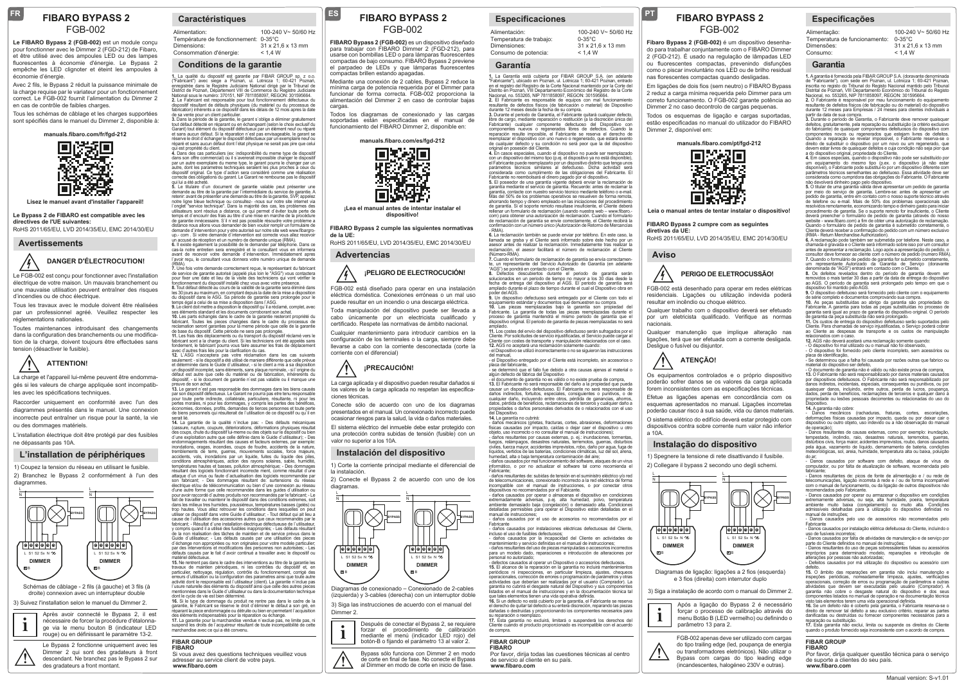## **FIBARO BYPASS 2** FGB-002

**FR**

**Le FIBARO Bypass 2 (FGB-002)** est un module conçu pour fonctionner avec le Dimmer 2 (FGD-212) de Fibaro, et être utilisé avec des ampoules LED ou des lampes fluorescentes à économie d'énergie. Le Bypass 2 empêche les LED clignoter et éteint les ampoules à économie d'énergie.

Avec 2 fils, le Bypass 2 réduit la puissance minimale de la charge requise par le variateur pour un fonctionnement correct. Le FGB-002 fournit l'alimentation du Dimmer 2 en cas de contrôle de faibles charges.

Tous les schémas de câblage et les charges supportées sont spécifiés dans le manuel du Dimmer 2, disponible à:



**Lisez le manuel avant d'installer l'appareil!**

**Le Bypass 2 de FIBARO est compatible avec les directives de l'UE suivantes:** RoHS 2011/65/EU, LVD 2014/35/EU, EMC 2014/30/EU

## **Avertissements**



Le FGB-002 est conçu pour fonctionner avec l'installation électrique de votre maison. Un mauvais branchement ou une mauvaise utilisation peuvent entraîner des risques d'incendies ou de choc électrique.

Tous les travaux avec le module doivent être réalisées par un professionnel agréé. Veuillez respecter les réglementations nationales.

Toutes maintenances introduisant des changements dans la configuration des branchements ou une modification de la charge, doivent toujours être effectuées sans tension (désactiver le fusible).



 La charge et l'appareil lui-même peuvent être endommagés si les valeurs de charge appliquée sont incompatibles avec les spécifications techniques.

Raccorder uniquement en conformité avec l'un des diagrammes présentés dans le manuel. Une connexion incorrecte peut entraîner un risque pour la santé, la vie ou des dommages matériels.

L'installation électrique doit être protégé par des fusibles ne dépassants pas 10A.

#### **L'installation de périphériques**

1) Coupez la tension du réseau en utilisant le fusible. 2) Branchez le Bypass 2 conformément à l'un des diagrammes.



3) Suivez l'installation selon le manuel du Dimmer 2. droite) connexion avec un interrupteur double

Après avoir connecté le Bypass 2, il est nécessaire de forcer la procédure d'étalonnage via le menu bouton B (indicateur LED **i**

**!**

rouge) ou en définissant le paramètre 13-2. Le Bypass 2 fonctionne uniquement avec les Dimmer 2 qui sont des gradateurs à front descendant. Ne branchez pas le Bypass 2 sur des gradateurs a front montant.

## **Caractéristiques**

| Alimentation:                         | 100-240 V~ 50/60 Hz |
|---------------------------------------|---------------------|
| Température de fonctionnement: 0-35°C |                     |
| Dimensions:                           | 31 x 21.6 x 13 mm   |
| Consommation d'énergie:               | < 1.4 W             |

### **Conditions de la garantie**

1. La qualité du dispositif est garantie par FIBAR GROUP sp. z o.o.<br>("Fabricant") avec siege a Poznań, ul. Lothicza 1; 60-421 Poznań,<br>bistrict de Poznań, Dépaister Judiciaire National dirige par le Tribunal de<br>District de dispositif résultant de défauts physiques (du matériel ou du processus de fabrication) inhérents a ce dispositif dans les délais de 12 mois apres la date

de sa vente pour un client particulier.<br>Sa partie pour un client particulier.<br>Sa Dans la période de la garantie, le garant s'oblige a éliminer gratuitement<br>Carant) tout élérant de dispositif défecueux par un élérnent neuf

qui est propriété du client. **4.** Dans des cas particuliers (ex: indisponibilité du meme type de dispositif dans son offre commercial) ou il s`avererait impossible changer le dispositif par un autre exemplaire du meme type, le garant pourra le changer par un<br>autre, dont les parametres techniques seraient les plus proches a ceux du autre, dont les parametres techniques seraient les plus proches a ceux du<br>dispositif original. Ce type d'action sera considéré comme une réalisation<br>correcte des obligations du garant. Le Garant ne rembourse pas le disposi **5.** Le titulaire d`un document de garantie valable peut présenter une

demande au titre de la garantie par l`intermédiaire du service de garantie. A retenir: avant de présenter une demande au titre de la garantie, SVP, appelez notre ligne bleue technique "ou consultez- -nous sur notre stie internet via<br>Conglet "service technique". Dans la majorité des cas, les problemes des<br>utilisateurs sont résolus a distance, ce qui permet d'éviter toute perte up.- com . Si votre demande d'intervention est correcte vous allez recevo

un accusé de réception et un numéro de demande unique (RMA).<br>6. Il existe également la possibilité de le demander par téléphone. Dans ce **6.** Il existe également la possibilité de le demander par téléphone. Dans ce<br>cas-la notre entretien sera enregistré et le consultant vous en informera<br>avant de recevoir votre demande d'intervention. Immédiatement apres<br>l'

(RMA).<br>7. Une fois votre demande correctement reçue, le représentant du fabricant<br>de service de garantie autorisé (appelé plus loin le "ASG") vous contactera pour fixer une date et lieu de la visite des techniciens qui vont vérifier le fonctionnement du dispositif installé chez vous avec votre présence.<br>8. Tout défaut détecté au cours de la validité de la garantie sera éliminé dans 8. Tout défaut détecté au cours de la validité de la garantie sera éliminé dans<br>les 30 jours au maximum, en comptant depuis la date de la mise a disposition<br>du dispositif dans le ASG. Sa période de garantie sera prolongée

**9.** Le client doit mettre a disposition le dispositif qu`il a réclamé, complet, avec ses éléments standard et les documents corroborant son achat. **10.** Les parts échangés dans le cadre de la garantie resteront propriété du

fabricant. Toutes les pieces changées dans le cadre du processus de<br>reclamation seront garanties pour la meme période que celle de la garantie<br>de base du dispositif. Cette période ne sera pas prolongée.<br>11. Les frais des d

**12.** L`ASG n'acceptera pas votre réclamation dans les cas suivants seulement: - si le dispositif a été utilisé de maniere différente que celle prévue et déterminée dans le Guide d`utilisateur, - si le client a mis a sa disposition un dispositif incomplet, sans éléments, sans plaque nominale, - si l`origine du défaut est autre que celle du matériel ou de fabrication, inhérerents du dispositif, - si le document de garantie n'est pas valable ou il manque un

preuve de son achat. **13.** Le garant n`est pas responsable des dommages dans les biens causés par son dispositif défectueux. Le Garant ne pourra pas etre tenu responsable pour toute perte indirecte, collatérale, particuliere, résultante, ni pour les pertes morales, ni pour les dommages, y compris les pertes des bénéfices, économies, données, profits, demandes de tierces personnes et toute perte de biens personnels qui résulterait de l`utilisation de ce dispositif ou qu`il en

serait lié. **14.** La garantie de la qualité n`inclue pas: - Des défauts mécaniques (cassure, rupture, coupure, déteriorations, déformations physiques résultat<br>des coups, chute du dispositif lui-meme ou des objets sur le dispositif ou bien<br>d'une exploitation autre que celle définie dans le Guide d'utilisa endommagements résultant des causes et facteurs externes, par exemple: inondations, orages, incendies, coups de foudre, accidents de la nature, tremblements de terre, querres, mouvements sociales, force majeure accidents, vols, inondations par un liquide, fuites du liquide des piles,<br>conditions atmosphériques, action des rayons solaires, sable, humidité,<br>températures hautes et basses, pollution atmosphérique; - Des dommages résultant des logiciels fonctionnant incorrecte ment, comme résultat d`une attaque d`un virus ou faute d`actualisation des logiciels recommandée par son fabricant: - Des dommages résultant de: surtensions du résea électrique et/ou de télécommunication ou bien d`une connexion au réseau d'une autre forme que celle recommandée dans les guides d`utilisation ou pour avoir raccordé d'autres produits non recommandés par le fabricant, - Le<br>fait de travailler ou maintenir le dispositif dans des conditions extremes, soit<br>dans les milieux tres humides, poussiéreux, températures basses y compris quand il a utilisé des fusibles inappropriés; - Les défauts résultant les<br>de la non réalisation des tâches de maintien et de service prévus dans le<br>Guide d'utilisateur; - Les défauts causés par une utilisation de

matériel défectueux. **15.** Ne rentrent pas dans le cadre des interventions au titre de la garantie les travaux de maintien périodiques, ni les contrôles du dispositif et, en particulier, nettoyage, régulation, contrôle du fonctionnement, corrigé des erreurs d'utilisation ou la configuration des parametres ainsi que toute autre<br>activité dont le responsable est l'utilisateur (client). La garantie n'indue pas<br>l'usure naturelle des éléments du dispositif ainsi que celle d

**16.** Si le type de dommage du produit ne rentre pas dans le cadre de la garantie, le Fabricant se réserve le droit d`éliminer le défaut a son gré, en réparant la piece endommagée ou détruite ou bien en permetant l`acquisition

des éléments indispensables pour la réparation ou échange.<br>des éléments indispensables pour la réparation ou échange.<br>17. La garantie pour la marchandise vendue n`exclue pas, ne limite pas, ni **17.** La garantie pour la marchandise vendue n`exclue pas, ne limite pas, ni<br>suspend les droits de l`acquéreur résultant de toute incompatibilité de cette<br>marchandise avec ce qui a été convenu.

#### **FIBAR GROUP FIBARO**

**www.fibaro.com** Si vous avez des questions techniques veuillez vous adresser au service client de votre pays.

## **FIBARO BYPASS 2**

FGB-002

**ES**

**FIBARO Bypass 2 (FGB-002)** es un dispositivo diseñado para trabajar con FIBARO Dimmer 2 (FGD-212), para usarse con bombillas LED o para lámparas fluorescentes compactas de bajo consumo. FIBARO Bypass 2 previene el parpadeo de LEDs y que lámparas fluorescentes compactas brillen estando apagadas.

Mediante una conexión de 2 cables, Bypass 2 reduce la mínima carga de potencia requerida por el Dimmer para funcionar de forma correcta. FGB-002 proporciona la alimentación del Dimmer 2 en caso de controlar bajas cargas

Todos los diagramas de conexionado y las cargas soportadas están especificadas en el manual de funcionamiento del FIBARO Dimmer 2, disponible en:

**manuals.fibaro.com/es/fgd-212**



**¡Lea el manual antes de intentar instalar el dispositivo!**

#### **FIBARO Bypass 2 cumple las siguientes normativas de la UE:**

RoHS 2011/65/EU, LVD 2014/35/EU, EMC 2014/30/EU

**Advertencias**

# **¡PELIGRO DE ELECTROCUCIÓN!**

FGB-002 está diseñado para operar en una instalación eléctrica doméstica. Conexiones erróneas o un mal uso puede resultar en un incendio o una descarga eléctrica.

Toda manipulación del dispositivo puede ser llevada a cabo únicamente por un electricista cualificado y certificado. Respete las normativas de ámbito nacional.

Cualquier mantenimiento para introducir cambios en la configuración de los terminales o la carga, siempre debe llevarse a cabo con la corriente desconectada (corte la corriente con el diferencial)



 La carga aplicada y el dispositivo pueden resultar dañados si los valores de la carga aplicada no respetan las especificaciones técnicas.

Conecte sólo de acuerdo con uno de los diagramas presentados en el manual. Un conexionado incorrecto puede ocasionar riesgos para la salud, la vida o daños materiales.

El sistema eléctrico del inmueble debe estar protegido con una protección contra subidas de tensión (fusible) con un valor no superior a los 10A.

#### **Instalación del dispositivo**

1) Corte la corriente principal mediante el diferencial de la instalación.

2) Conecte el Bypass 2 de acuerdo con uno de los diagramas.



Diagramas de conexionado – Conexionado de 2-cables (izquierda) y 3-cables (derecha) con un interruptor doble

3) Siga las instrucciones de acuerdo con el manual del

| Dimmer 2. |                                                                                                                                                                                      |  |  |  |  |
|-----------|--------------------------------------------------------------------------------------------------------------------------------------------------------------------------------------|--|--|--|--|
| ٠<br>л    | Después de conectar el Bypass 2, se requiere<br>forzar el procedimiento de calibración<br>mediante el menú (indicador LED rojo) del<br>botón-B o fijando el parámetro 13 al valor 2. |  |  |  |  |

Bypass sólo funciona con Dimmer 2 en modo de corte en final de fase. No conecte el Bypass **!** al Dimmer en modo de corte en inicio de fase.

### **Especificaciones**

| Alimentación:           | 100-240 V~ 50/60 Hz           |
|-------------------------|-------------------------------|
| Temperatura de trabajo: | $0 - 35^{\circ}$ C            |
| Dimensiones:            | $31 \times 21.6 \times 13$ mm |
| Consumo de potencia:    | < 1.4 W                       |
|                         |                               |

**FIBARO BYPASS 2 PT**

FGB-002

**Fibaro Bypass 2 (FGB-002)** é um dispositivo desenhado para trabalhar conjuntamente com o FIBARO Dimmer 2 (FGD-212). É usado na regulação de lâmpadas LED ou fluorescentes compactas, prevenindo disfunções como o piscar involuntário nos LED ou de brilho residual nas florescentes compactas quando desligadas. Em ligações de dois fios (sem neutro) o FIBARO Bypass 2 reduz a carga mínima requerida pelo Dimmer para um correto funcionamento. O FGB-002 garante potência ao Dimmer 2 no caso decontrolo de cargas pequenas. Todos os esquemas de ligação e cargas suportadas, estão especificadas no manual do utilizador do FIBARO

**Garantia**

Alimentação:

Dimensões: Consumo:

14 A garantia não cobre:

Fabricante

**BYPASS**

**FIBAR GROUP FIBARO**

**www.fibaro.com**

de suporte a clientes do seu país.

**14.** Agarantia não cobre:<br>- Danos - mecânicos - (rachaduras, - fraturas, - cortes, - escoriações,<br>deformações físicas causadas por impacto, queda ou por deixar cair o<br>dispositivo ou outro objeto, uso indevido ou a não obs de operação); - Danos resultantes de causas externas, como por exemplo: inundação, tempestade, incêndio, raio, desastres naturais, terremotos, guerras, distúrbios civis, força maior, acidentes imprevistos, roubo, danos causados pela água, vazamento de líquido, derramamento de bateria, condições .<br>meteorológicas, sol, areia, humidade, temperatura alta ou baixa, poluição do ar; - Danos causados por software com defeito, ataque de vírus de computador, ou por falta de atualização de software, recomendador, ou por falta de atualização de software, recomenda fabricante; - Danos resultantes de: picos de fonte de alimentação e / ou rede de telecomunicações, ligação incorreta à rede e / ou de forma incompatível com o manual de funcionamento, ou da ligação de outros dispositivos não com o mainar ao tantocamento, ou az ingação ao outros aspositivos nacercomendados pelo Fabricante.<br>- Danos causados por operar ou armazenar o dispositivo em condições - Danos causados por operar ou armazenar o dispositivo em condições<br>extremamente adversas, ou seja, alta humidade, poeira, temperatura<br>ambiente muito baixa (congelamento) ou muito alta. Condições<br>admissíveis detalhadas par manual de instruções; - Danos causados pelo uso de acessórios não recomendados pelo

r aoncane<br>- Danos causados por instalação elétrica defeituosa do Cliente, incluindo d<br>uso de fusíveis incorretos: uso de fusíveis incorretos; - Danos causados por falta de atividades de manutenção e de serviço por parte do Cliente definidos no manual de instruções; - Danos resultantes do uso de peças sobressalentes falsas ou acessórios impróprios para determinado modelo, reparações e introdução de alterações por pessoas não autorizadas; - Defeitos causados por má utilização do dispositivo ou acessório com

defeito.<br>15. O âmbito das reparações em garantia não inclui manutenção e<br>inspeções períódicas, nomeadamente limpeza, ajustes, verificações<br>operacionais, correção de erros ou programação de parâmetros e outras<br>atividades qu

visto tais elementos terem uma vida operacional definida. **16.** Se um defeito não é coberto pela garantia, o Fabricante reserva-se o direito de remover tal defeito a seu exclusivo critério, reparar as partes danificadas ou destruídas ou fornecer componentes necessários para a reparação ou substituição.<br>**17.** Esta garantia não exclui, limita ou suspende os direitos do Cliente<br>quando o produto fornecido seja inconsistente com o acordo de compra.

Por favor, dirija qualquer questão técnica para o serviço

**Especificações**

Temperatura de funcionamento:

**1.** A garantia é fornecida pela FIBAR GROUP S.A. (doravante denominada de "Fabricante"), com sede em Poznan, ul. Lotnicza 1; 60-421 Poznan,<br>inscrita no registo do Tribunal do Registo Nacional mantido pelo Tribunal<br>Distrital de Poznań, VIII Departamento Econômico do Tribunal do Registo<br>Naciona resultante de defeitos físicos (de fabricação ou do material) do dispositivo durante 12 meses para Empresas / 24 meses para clientes individuais a

100-240 V~ 50/60 Hz

0-35°C 31 x 21,6 x 13 mm  $< 1.4 W$ 

partir da data de sua compra.<br>3. Durante o período de Garantia, o Fabricante deve remover quaisquer<br>defeitos, gratuitamente, pela reparação ou substituição (a critério exclusivo<br>do fabricante) de quaisquer componentes defe devem estar livres de quaisquer defeitos e cuja condição não seja pior que

**4.** Em casos especiais, quando o dispositivo não pode ser substituído por um equipamento do mesmo tipo (p.ex. o dispositivo já não estar disponível), o Fabricante pode substituí-lo por um dispositivo diferente com parâmetros técnicos semelhantes ao defeituoso. Essa atividade deve ser<br>considerada como cumpridora das obrigações do Fabricante. O Fabricante<br>não devolverá dinheiro pago pelo dispositivo.<br>**5.** O titular de uma garantia vál por meio do serviço de garantia. Lembre-se: antes de apresentar um pedido de garantia, entre em contato com o nosso suporte técnico através de telefone ou e-mail. Mais de 50% dos problemas operacionais são<br>resolvidos remotamente economizando tempo e dipheiro gasto para inicial resolvidos remotamente, economizando tempo e dinheiro gasto para iniciar<br>nento de garantia. Se o suporte remoto for insuficiente, o Cliente procedimento de garantia. Se o suporte remoto for insuficiente, o Cliente<br>deverá preencher o formulário de pedido de garantia (através do nosso<br>website - www.fibaro.com) a fim de obter uma autorização de reclamação.<br>Quando (RMA - Return Merchandise Authorization). **6.** A reclamação pode também ser submetida por telefone. Neste caso, a chamada é gravada e o Cliente será informado sobre isso por um consultor antes de apresentar a reclamação. Logo após a apresentação do pedido, o consultor deve fornecer ao cliente com o número de pedido (numero RMA).<br>7. Quando o formulário de pedido de garantia for submetido corretamente,<br>um representante Autorizado da Garantia de Serviço (doravante denominada de "AGS") entrará em contacto com o Cliente. **8.** Os defeitos revelados dentro do período de garantia devem ser removidos o mais tardar 30 dias a partir da data de entrega do dispositivo ao AGS. O período de garantia será prolongado pelo tempo em que o<br>dispositivo foi mantido pelo AGS. dispositivo foi mantido pelo AGS.<br>9. O dispositivo defeitiuoso será fornecido pelo cliente com o equipamento<br>de série completo e documentos comprovando sua compra.<br>10. As peças substituídas ao abrigo da garantía são propri garantia será igual ao prazo de garantia do dispositivo original. O período de garantia da peça substituída não será prolongado. **11.** Os custos de entrega do dispositivo defeituoso serão suportados pelo Cliente. Para chamadas de serviço injustificadas, o Serviço poderá cobrar ao Cliente as despesas de transporte e os custos de manipulação relacionados com o caso.<br>**12.** AGS não deverá aceitará uma reclamação somente quando:<br>- O dispositivo foi mal utilizado ou o manual não foi observado,<br>- O dispositivo foi fornecido pelo cliente incompleto, sem acessórios o placa de identificação, - Se determinou que a falha foi causada por razões outras que fabrico ou material do dispositivo ser defeito,<br>- O documento de garantia não é válido ou não existe prova de compra,<br>**13.** O Fabricante não será responsabilizado por danos materiais causados por dispositivos defeituosos. O Fabricante não será responsabilizado por danos indiretos, incidentais, especiais, consequentes ou punitivos, ou por quaisquer danos, incluindo, entre outros, perda de lucros, poupança, dados, perda de benefícios, reclamações de terceiros e qualquer dano à propriedade ou lesões pessoais decorrentes ou relacionadas do uso do

a do dispositivo original, propriedade do Cliente.

**manuals.fibaro.com/pt/fgd-212**<br> **manuals.fibaro.com/pt/fgd-212**<br> **manuals.fibaro.com/pt/fgd-212**<br> **manuals.fibaro.com/pt/fgd-212** 

Tī

eter

**Leia o manual antes de tentar instalar o dispositivo! FIBARO Bypass 2 cumpre com as seguintes** 

RoHS 2011/65/EU, LVD 2014/35/EU, EMC 2014/30/EU

**Instalação do dispositivo**

1) Spegnere la tensione di rete disattivando il fusibile. 2) Collegare il bypass 2 secondo uno degli schemi.

> L N

**BYPASS**

3) Siga a instalação de acordo com o manual do Dimmer 2. Diagramas de ligação: ligações a 2 fios (esquerda) e 3 fios (direita) com interrutor duplo

parâmetro 13 para 2.

Após a ligação do Bypass 2 é necessário forçar o processo de calibração através do menu Botão B (LED vermelho) ou definindo o

FGB-002 apenas deve ser utilizado com cargas do tipo trailing edge (led, poupança de energia ou transformadores eletrónicos). Não utilizar o Bypass com cargas do tipo leading edge (incandescentes, halogéneo 230V e outras).

B

**DIMMER** L S1 S2 Sx N  $\infty$ 

**ATENÇÃO!**

Desligue o fusível ou disjuntor.

resultar em incêndio ou choque elétrico.

 Os equipamentos controlados e o próprio dispositivo

poderão sofrer danos se os valores da carga aplicada forem inconsistentes com as especificações técnicas. Efetue as ligações apenas em concordância com os esquemas apresentados no manual. Ligações incorretas poderão causar risco à sua saúde, vida ou danos materiais. O sistema elétrico do edifício deverá estar protegido com dispositivos contra sobre corrente num valor não inferior

Qualquer trabalho com o dispositivo deverá ser efetuado por um eletricista qualificado. Verifique as normas

Qualquer manutenção que implique alteração nas ligações, terá que ser efetuada com a corrente desligada.

**PERIGO DE ELETROCUSSÃO!** FGB-002 está desenhado para operar em redes elétricas residenciais. Ligações ou utilização indevida poderá

**Aviso**

**diretivas da UE:**

Dimmer 2, disponível em:

**!**

a 10A.

L N

**i**

**!**

B

**DIMMER** L S1 S2 Sx N  $\infty$ 

ħ ၂ၜ႞ၜ႞ၜ႞ၜ႞ၜ႞

nacionais.

## **Garantía**

**1.** La Garantía está cubierta por FIBAR GROUP S.A. (en adelante<br>"Fabricante"), ubicado en Poznan, ul. Lotnicza 1; 60-421 Poznan, entrado en el registro del Registro de la Corte Nacional mantenido por la Corte del<br>Distrito en Poznań, VIII Departamento Económico del Registro de la Corte<br>Nacional, no. 553265, NIP 7811858097, REGON: 301595664.<br>2. El Fabricante

durante 12 meses desde la fecha de su compra. **3.** Durante el periodo de Garantía, el Fabricante quitará cualquier defecto, libre de cargo, mediante reparación o restitución (a la discreción única del<br>Fabricante) cualquier componente defectuoso del Dispositivo con<br>componentes nuevos o regenerados libres de defectos. Cuando la<br>reparación resulte reemplazar el dispositivo con uno nuevo o regenerado, que estará exento de cualquier defecto y su condición no será peor que la del dispositivo original en posesión del Cliente.

**4.** En casos especiales, cuando el dispositivo no puede ser reemplazado con un dispositivo del mismo tipo (p.ej. el dispositivo ya no está disponible), el Fabricante puede reemplazarlo por un dispositivo distinto que tenga unos<br>parámetros · técnicos · similares · al defectuoso. Dicha · actividad · será<br>considerada · como · cumplimento · de · las · obligaciones · del · Fab

**5.** El poseedor de una garantía vigente deberá enviar la reclamación de<br>garantía mediante el servicio de garantía. Recuerde: antes de reclamar la garantía, contacte con nuestro servicio técnico mediante teléfono o e-mail. Más del 50% de los problemas operativos se resuelven de forma remota<br>ahorrando tiempo y dinero empleado en las iniciaciones del procedimiento ahorrando tiempo y dinero empleado en las iniciaciones del procedimiento<br>de garantía. Si el soporte remoto resultase insuficiente, el Cliente deberá<br>rellenar un formulario de reclamación (usando nuestra web – www.fibaro.<br>c confirmación con un número único (Autorización de Retorno de Mercancías<br>- RMA).<br>- RMA).

- RMA). **6.** La reclamación también se puede enviar por teléfono. En este caso, la llamada se graba y el Cliente será informado sobre éste hecho por un asesor antes de realizar la reclamación. Inmediatamente tras realizar la reclamación, el asesor facilitará el número de reclamación al Cliente

(Número-RMA). **7.** Cuando el formulario de reclamación de garantía se envía correctamente, un representante del Servicio Autorizado de Garantía (en adelante

"AGS") se pondrá en contacto con el Cliente.<br>8. Defectos descubiertos durante el periodo de garantía serán<br>solucionados en un periodo de tiempo no mayor a los 30 días desde la<br>fecha de entrega del dispositivo al AGS. El pe

poder del AGS.<br>9. Un dispositivo defectuoso será entregado por el Cliente con todo el<br>equipamiento estándar y documentos que demuestren su compra.<br>10. Las piezas reemplazadas bajo la garantía son propiedad del<br>Fabricante. dispositivo original. El periodo de garantía de piezas reemplazadas no será ampliado.<br>11 - Los costas dal anvío dal dispositivo dafactuoso sarán sufragados por al

11. Los costes del envio del dispositivo defectuoso serán sufragados por el<br>Cliente. Por solicitudes de servicio injustificadas, el Servicio puede cargar al<br>Cliente con costes de transporte y manipulación relacionados con

del manual, - el Dispositivo entregado por el Cliente está incompleto, sin accesorios o

placa del fabricante,<br>« se determinó que, el fallo fue debido a otra causas ajenas al material o<br>algún defecto de fábrica del Dispositivo<br>« el documento de garantía no es válido o no existe prueba de compra,<br>« al El Fabric daños indirectos, fortuitos, especiales, consiguientes o punitivos, o de

cualquier daño, incluyendo entre otros, pérdida de ganancias, ahorros, datos, pérdida de beneficios, reclamaciones de terceros y cualquier daño a propiedades o daños personales derivados de o relacionados con el uso

del Dispositivo.<br>**14** La garantía no cubrirá:

**14.** La garantia no cubrirà:<br>- daños mecánicos (grietas, fracturas, cortes, abrasiones, deformaciones<br>físicas causadas por impacto, caídas o dejar caer el dispositivo u otro<br>objeto, uso incorrecto o no consultar el manual - daños resultantes por causas externas, p. ej.: inundaciones, tormentas,

fuegos, relámpagos, desastres naturales, terremotos, guerras, disturbios civiles, fuerza mayor, accidentes imprevistos, robo, daño por agua, fuga de líquidos, vertidos de las baterías, condiciones climáticas, luz del sol, arena, humedad, alta o baja temperatura contaminación del aire; - daños causados por mal funcionamiento del software, ataques de un virus

informático, o por no actualizar el software tal como Fabricante; - daños resultantes de: subidas de tensión en el suministro eléctrico y/o red

de telecomunicaciones, conexionado incorrecto a la red eléctrica de forma incompatible con el manual de instrucciones, o por conectar otros dispositivos no recomendados por el Fabicante. - daños causados por operar o almacenas el dispositivo en condiciones

extremadamente adversas, p.ej. alta humedad, polvo, temperatura<br>ambiente demasiado baja (congelación) o demasiado alta. Condiciones<br>detalladas permisibles para operar el Dispositivo están detalladas en el

manual de instrucciones; - daños causados por el uso de accesorios no recomendados por el Fabricante

rabricanie<br>- daños causados por instalaciones eléctricas defectuosas del Cliente,<br>incluso el uso de fusibles defectuosos:

incluso el uso de fusibles defectuosos; - daños causados por la incapacidad del Cliente en actividades de mantenimiento y servicio definidas en el manual de instrucciones;<br>- daños resultantes del uso de piezas manipuladas o accesorios incorrectos<br>para un modelo dado, reparaciones e introducción de alteraciones por

personal no autorizado; - persoriai no autorizatio,<br>- defectos causados al operar un Dispositivo o accesorios defectuosos.<br>**15.** El alcance de la reparación en la garantía no incluirá mantenimientos 15. El alcanore de la reparación en la grantalía no incluiría martenimientos<br>periódicos ni inspecciones, en particular limpieza, ajustes, chequeos<br>operacionales, corrección de errores o programación de parámetros y otras<br>a

**16.** Si un defecto no está cubierto por la garantía, el Fabricante se reserva el derecho de quitar tal defecto a su entera discreción, reparando las piezas dañadas o destruidas y proporcionando los componentes necesarios para

su reparación o reemplazo.<br>Su reparación o reemplazo.<br>17 Esta garantía no excluirá limitará o suspenderá los derechos del **17.** Esta garantía no excluirá, limitará o suspenderá los derechos del Cliente cuando el producto proporcionado es incompatible con el acuerdo de compra.

Por favor, dirija todas las cuestiones técnicas al centro

Manual version: S-v1.01

**FIBAR GROUP FIBARO**

**www.fibaro.com**

de servicio al cliente en su país.